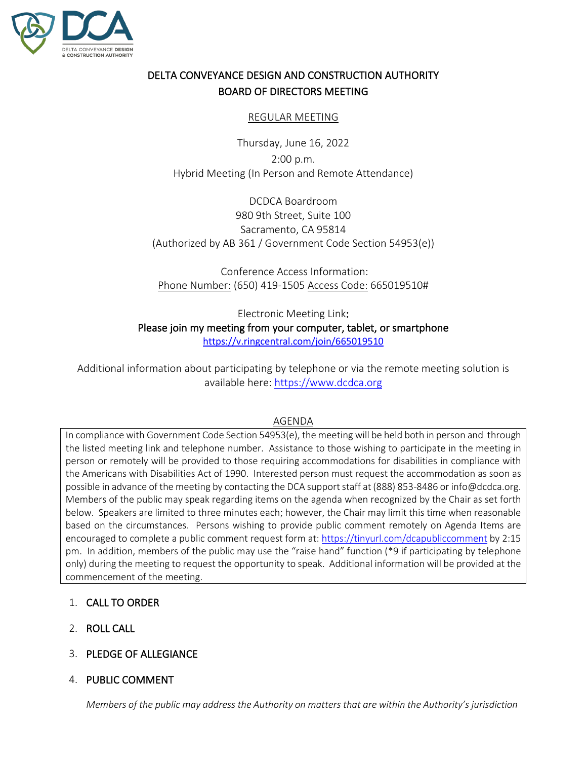

# DELTA CONVEYANCE DESIGN AND CONSTRUCTION AUTHORITY BOARD OF DIRECTORS MEETING

#### REGULAR MEETING

Thursday, June 16, 2022 2:00 p.m. Hybrid Meeting (In Person and Remote Attendance)

DCDCA Boardroom 980 9th Street, Suite 100 Sacramento, CA 95814 (Authorized by AB 361 / Government Code Section 54953(e))

Conference Access Information: Phone Number: (650) 419-1505 Access Code: 665019510#

Electronic Meeting Link: Please join my meeting from your computer, tablet, or smartphone <https://v.ringcentral.com/join/665019510>

Additional information about participating by telephone or via the remote meeting solution is available here: [https://www.dcdca.org](https://www.dcdca.org/)

#### AGENDA

In compliance with Government Code Section 54953(e), the meeting will be held both in person and through the listed meeting link and telephone number. Assistance to those wishing to participate in the meeting in person or remotely will be provided to those requiring accommodations for disabilities in compliance with the Americans with Disabilities Act of 1990. Interested person must request the accommodation as soon as possible in advance of the meeting by contacting the DCA support staff at (888) 853-8486 or info@dcdca.org. Members of the public may speak regarding items on the agenda when recognized by the Chair as set forth below. Speakers are limited to three minutes each; however, the Chair may limit this time when reasonable based on the circumstances. Persons wishing to provide public comment remotely on Agenda Items are encouraged to complete a public comment request form at[: https://tinyurl.com/dcapubliccomment](https://tinyurl.com/dcapubliccomment) by 2:15 pm. In addition, members of the public may use the "raise hand" function (\*9 if participating by telephone only) during the meeting to request the opportunity to speak. Additional information will be provided at the commencement of the meeting.

## 1. CALL TO ORDER

- 2. ROLL CALL
- 3. PLEDGE OF ALLEGIANCE
- 4. PUBLIC COMMENT

*Members of the public may address the Authority on matters that are within the Authority's jurisdiction*